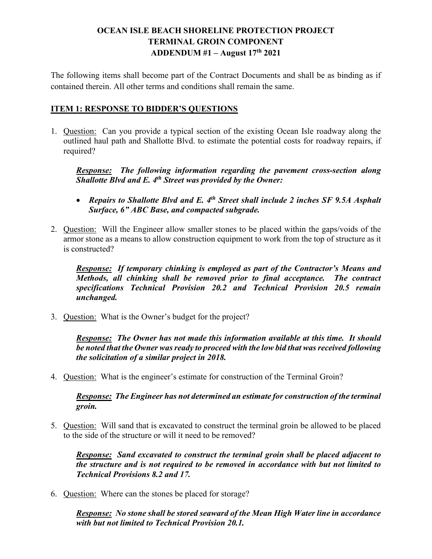## **OCEAN ISLE BEACH SHORELINE PROTECTION PROJECT TERMINAL GROIN COMPONENT ADDENDUM #1 – August 17th 2021**

The following items shall become part of the Contract Documents and shall be as binding as if contained therein. All other terms and conditions shall remain the same.

## **ITEM 1: RESPONSE TO BIDDER'S QUESTIONS**

1. Question: Can you provide a typical section of the existing Ocean Isle roadway along the outlined haul path and Shallotte Blvd. to estimate the potential costs for roadway repairs, if required?

*Response: The following information regarding the pavement cross-section along Shallotte Blvd and E. 4th Street was provided by the Owner:*

- *Repairs to Shallotte Blvd and E. 4th Street shall include 2 inches SF 9.5A Asphalt Surface, 6" ABC Base, and compacted subgrade.*
- 2. Question: Will the Engineer allow smaller stones to be placed within the gaps/voids of the armor stone as a means to allow construction equipment to work from the top of structure as it is constructed?

*Response: If temporary chinking is employed as part of the Contractor's Means and Methods, all chinking shall be removed prior to final acceptance. The contract specifications Technical Provision 20.2 and Technical Provision 20.5 remain unchanged.*

3. Question: What is the Owner's budget for the project?

*Response: The Owner has not made this information available at this time. It should be noted that the Owner was ready to proceed with the low bid that was received following the solicitation of a similar project in 2018.*

4. Question: What is the engineer's estimate for construction of the Terminal Groin?

*Response: The Engineer has not determined an estimate for construction of the terminal groin.* 

5. Question: Will sand that is excavated to construct the terminal groin be allowed to be placed to the side of the structure or will it need to be removed?

*Response: Sand excavated to construct the terminal groin shall be placed adjacent to the structure and is not required to be removed in accordance with but not limited to Technical Provisions 8.2 and 17.*

6. Question: Where can the stones be placed for storage?

*Response: No stone shall be stored seaward of the Mean High Water line in accordance with but not limited to Technical Provision 20.1.*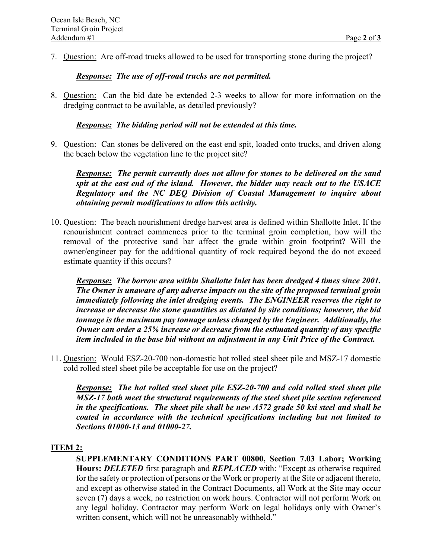7. Question: Are off-road trucks allowed to be used for transporting stone during the project?

#### *Response: The use of off-road trucks are not permitted.*

8. Question: Can the bid date be extended 2-3 weeks to allow for more information on the dredging contract to be available, as detailed previously?

#### *Response: The bidding period will not be extended at this time.*

9. Question: Can stones be delivered on the east end spit, loaded onto trucks, and driven along the beach below the vegetation line to the project site?

*Response: The permit currently does not allow for stones to be delivered on the sand spit at the east end of the island. However, the bidder may reach out to the USACE Regulatory and the NC DEQ Division of Coastal Management to inquire about obtaining permit modifications to allow this activity.*

10. Question: The beach nourishment dredge harvest area is defined within Shallotte Inlet. If the renourishment contract commences prior to the terminal groin completion, how will the removal of the protective sand bar affect the grade within groin footprint? Will the owner/engineer pay for the additional quantity of rock required beyond the do not exceed estimate quantity if this occurs?

*Response: The borrow area within Shallotte Inlet has been dredged 4 times since 2001. The Owner is unaware of any adverse impacts on the site of the proposed terminal groin immediately following the inlet dredging events. The ENGINEER reserves the right to increase or decrease the stone quantities as dictated by site conditions; however, the bid tonnage is the maximum pay tonnage unless changed by the Engineer. Additionally, the Owner can order a 25% increase or decrease from the estimated quantity of any specific item included in the base bid without an adjustment in any Unit Price of the Contract.*

11. Question: Would ESZ-20-700 non-domestic hot rolled steel sheet pile and MSZ-17 domestic cold rolled steel sheet pile be acceptable for use on the project?

*Response: The hot rolled steel sheet pile ESZ-20-700 and cold rolled steel sheet pile MSZ-17 both meet the structural requirements of the steel sheet pile section referenced in the specifications. The sheet pile shall be new A572 grade 50 ksi steel and shall be coated in accordance with the technical specifications including but not limited to Sections 01000-13 and 01000-27.*

### **ITEM 2:**

**SUPPLEMENTARY CONDITIONS PART 00800, Section 7.03 Labor; Working Hours:** *DELETED* first paragraph and *REPLACED* with: "Except as otherwise required for the safety or protection of persons or the Work or property at the Site or adjacent thereto, and except as otherwise stated in the Contract Documents, all Work at the Site may occur seven (7) days a week, no restriction on work hours. Contractor will not perform Work on any legal holiday. Contractor may perform Work on legal holidays only with Owner's written consent, which will not be unreasonably withheld."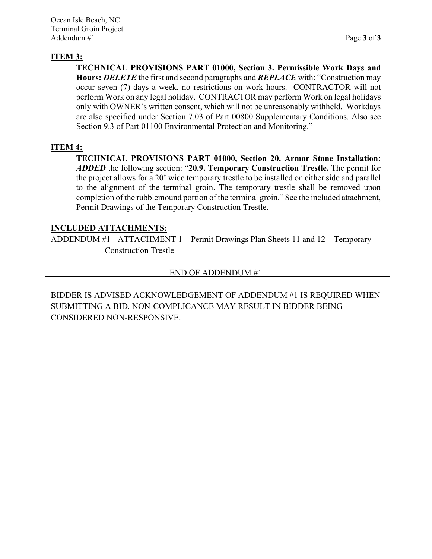## **ITEM 3:**

**TECHNICAL PROVISIONS PART 01000, Section 3. Permissible Work Days and Hours:** *DELETE* the first and second paragraphs and *REPLACE* with: "Construction may occur seven (7) days a week, no restrictions on work hours. CONTRACTOR will not perform Work on any legal holiday. CONTRACTOR may perform Work on legal holidays only with OWNER's written consent, which will not be unreasonably withheld. Workdays are also specified under Section 7.03 of Part 00800 Supplementary Conditions. Also see Section 9.3 of Part 01100 Environmental Protection and Monitoring."

## **ITEM 4:**

**TECHNICAL PROVISIONS PART 01000, Section 20. Armor Stone Installation:**  *ADDED* the following section: "**20.9. Temporary Construction Trestle.** The permit for the project allows for a 20' wide temporary trestle to be installed on either side and parallel to the alignment of the terminal groin. The temporary trestle shall be removed upon completion of the rubblemound portion of the terminal groin." See the included attachment, Permit Drawings of the Temporary Construction Trestle.

### **INCLUDED ATTACHMENTS:**

ADDENDUM #1 - ATTACHMENT 1 – Permit Drawings Plan Sheets 11 and 12 – Temporary Construction Trestle

#### END OF ADDENDUM #1

BIDDER IS ADVISED ACKNOWLEDGEMENT OF ADDENDUM #1 IS REQUIRED WHEN SUBMITTING A BID. NON-COMPLICANCE MAY RESULT IN BIDDER BEING CONSIDERED NON-RESPONSIVE.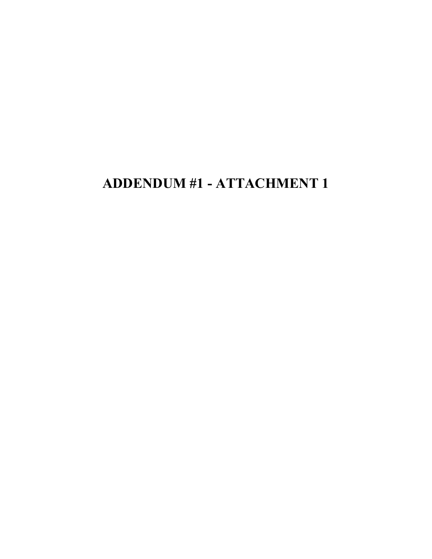# **ADDENDUM #1 - ATTACHMENT 1**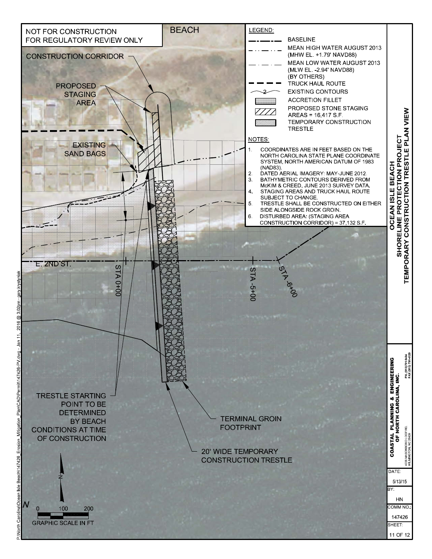

តិ  $\frac{1}{2}$  $\frac{a}{s}$